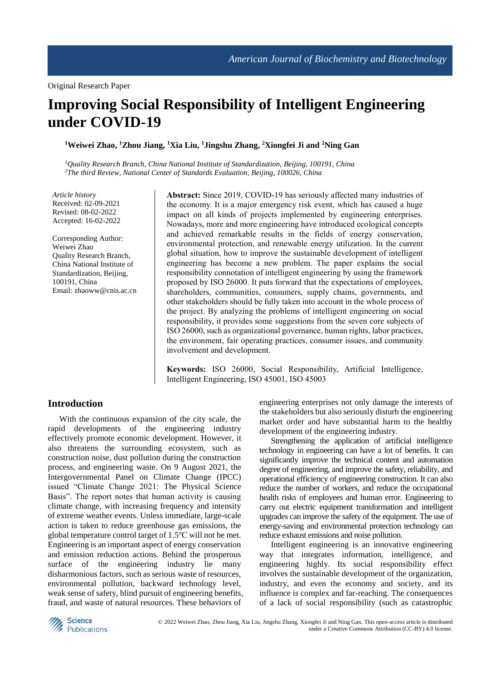# **Improving Social Responsibility of Intelligent Engineering under COVID-19**

### **<sup>1</sup>Weiwei Zhao, <sup>1</sup>Zhou Jiang, <sup>1</sup>Xia Liu, <sup>1</sup>Jingshu Zhang, <sup>2</sup>Xiongfei Ji and <sup>2</sup>Ning Gan**

*<sup>1</sup>Quality Research Branch, China National Institute of Standardization, Beijing, 100191, China <sup>2</sup>The third Review, National Center of Standards Evaluation, Beijing, 100026, China*

*Article history* Received: 02-09-2021 Revised: 08-02-2022 Accepted: 16-02-2022

Corresponding Author: Weiwei Zhao Quality Research Branch, China National Institute of Standardization, Beijing, 100191, China Email: zhaoww@cnis.ac.cn

**Abstract:** Since 2019, COVID-19 has seriously affected many industries of the economy. It is a major emergency risk event, which has caused a huge impact on all kinds of projects implemented by engineering enterprises. Nowadays, more and more engineering have introduced ecological concepts and achieved remarkable results in the fields of energy conservation, environmental protection, and renewable energy utilization. In the current global situation, how to improve the sustainable development of intelligent engineering has become a new problem. The paper explains the social responsibility connotation of intelligent engineering by using the framework proposed by ISO 26000. It puts forward that the expectations of employees, shareholders, communities, consumers, supply chains, governments, and other stakeholders should be fully taken into account in the whole process of the project. By analyzing the problems of intelligent engineering on social responsibility, it provides some suggestions from the seven core subjects of ISO 26000, such as organizational governance, human rights, labor practices, the environment, fair operating practices, consumer issues, and community involvement and development.

**Keywords:** ISO 26000, Social Responsibility, Artificial Intelligence, Intelligent Engineering, ISO 45001, ISO 45003

## **Introduction**

With the continuous expansion of the city scale, the rapid developments of the engineering industry effectively promote economic development. However, it also threatens the surrounding ecosystem, such as construction noise, dust pollution during the construction process, and engineering waste. On 9 August 2021, the Intergovernmental Panel on Climate Change (IPCC) issued "Climate Change 2021: The Physical Science Basis". The report notes that human activity is causing climate change, with increasing frequency and intensity of extreme weather events. Unless immediate, large-scale action is taken to reduce greenhouse gas emissions, the global temperature control target of 1.5℃ will not be met. Engineering is an important aspect of energy conservation and emission reduction actions. Behind the prosperous surface of the engineering industry lie many disharmonious factors, such as serious waste of resources, environmental pollution, backward technology level, weak sense of safety, blind pursuit of engineering benefits, fraud, and waste of natural resources. These behaviors of

engineering enterprises not only damage the interests of the stakeholders but also seriously disturb the engineering market order and have substantial harm to the healthy development of the engineering industry.

Strengthening the application of artificial intelligence technology in engineering can have a lot of benefits. It can significantly improve the technical content and automation degree of engineering, and improve the safety, reliability, and operational efficiency of engineering construction. It can also reduce the number of workers, and reduce the occupational health risks of employees and human error. Engineering to carry out electric equipment transformation and intelligent upgrades can improve the safety of the equipment. The use of energy-saving and environmental protection technology can reduce exhaust emissions and noise pollution.

Intelligent engineering is an innovative engineering way that integrates information, intelligence, and engineering highly. Its social responsibility effect involves the sustainable development of the organization, industry, and even the economy and society, and its influence is complex and far-reaching. The consequences of a lack of social responsibility (such as catastrophic

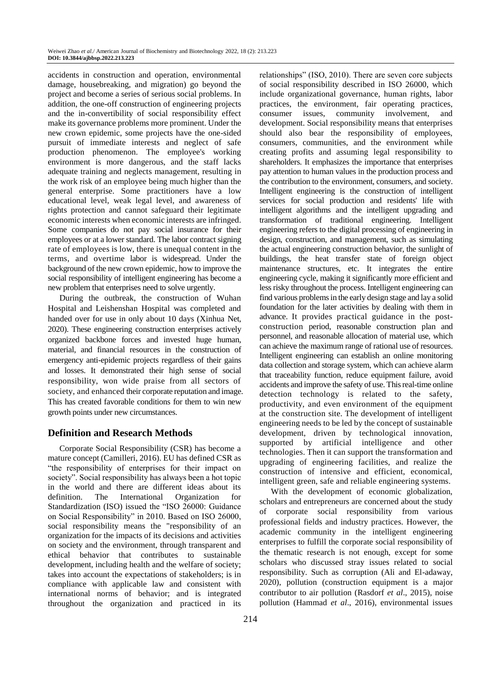accidents in construction and operation, environmental damage, housebreaking, and migration) go beyond the project and become a series of serious social problems. In addition, the one-off construction of engineering projects and the in-convertibility of social responsibility effect make its governance problems more prominent. Under the new crown epidemic, some projects have the one-sided pursuit of immediate interests and neglect of safe production phenomenon. The employee's working environment is more dangerous, and the staff lacks adequate training and neglects management, resulting in the work risk of an employee being much higher than the general enterprise. Some practitioners have a low educational level, weak legal level, and awareness of rights protection and cannot safeguard their legitimate economic interests when economic interests are infringed. Some companies do not pay social insurance for their employees or at a lower standard. The labor contract signing rate of employees is low, there is unequal content in the terms, and overtime labor is widespread. Under the background of the new crown epidemic, how to improve the social responsibility of intelligent engineering has become a new problem that enterprises need to solve urgently.

During the outbreak, the construction of Wuhan Hospital and Leishenshan Hospital was completed and handed over for use in only about 10 days (Xinhua Net, 2020). These engineering construction enterprises actively organized backbone forces and invested huge human, material, and financial resources in the construction of emergency anti-epidemic projects regardless of their gains and losses. It demonstrated their high sense of social responsibility, won wide praise from all sectors of society, and enhanced their corporate reputation and image. This has created favorable conditions for them to win new growth points under new circumstances.

# **Definition and Research Methods**

Corporate Social Responsibility (CSR) has become a mature concept (Camilleri, 2016). EU has defined CSR as "the responsibility of enterprises for their impact on society". Social responsibility has always been a hot topic in the world and there are different ideas about its definition. The International Organization for Standardization (ISO) issued the "ISO 26000: Guidance on Social Responsibility" in 2010. Based on ISO 26000, social responsibility means the "responsibility of an organization for the impacts of its decisions and activities on society and the environment, through transparent and ethical behavior that contributes to sustainable development, including health and the welfare of society; takes into account the expectations of stakeholders; is in compliance with applicable law and consistent with international norms of behavior; and is integrated throughout the organization and practiced in its

relationships" (ISO, 2010). There are seven core subjects of social responsibility described in ISO 26000, which include organizational governance, human rights, labor practices, the environment, fair operating practices, consumer issues, community involvement, and development. Social responsibility means that enterprises should also bear the responsibility of employees, consumers, communities, and the environment while creating profits and assuming legal responsibility to shareholders. It emphasizes the importance that enterprises pay attention to human values in the production process and the contribution to the environment, consumers, and society. Intelligent engineering is the construction of intelligent services for social production and residents' life with intelligent algorithms and the intelligent upgrading and transformation of traditional engineering. Intelligent engineering refers to the digital processing of engineering in design, construction, and management, such as simulating the actual engineering construction behavior, the sunlight of buildings, the heat transfer state of foreign object maintenance structures, etc. It integrates the entire engineering cycle, making it significantly more efficient and less risky throughout the process. Intelligent engineering can find various problems in the early design stage and lay a solid foundation for the later activities by dealing with them in advance. It provides practical guidance in the postconstruction period, reasonable construction plan and personnel, and reasonable allocation of material use, which can achieve the maximum range of rational use of resources. Intelligent engineering can establish an online monitoring data collection and storage system, which can achieve alarm that traceability function, reduce equipment failure, avoid accidents and improve the safety of use. This real-time online detection technology is related to the safety, productivity, and even environment of the equipment at the construction site. The development of intelligent engineering needs to be led by the concept of sustainable development, driven by technological innovation, supported by artificial intelligence and other technologies. Then it can support the transformation and upgrading of engineering facilities, and realize the construction of intensive and efficient, economical, intelligent green, safe and reliable engineering systems.

With the development of economic globalization, scholars and entrepreneurs are concerned about the study of corporate social responsibility from various professional fields and industry practices. However, the academic community in the intelligent engineering enterprises to fulfill the corporate social responsibility of the thematic research is not enough, except for some scholars who discussed stray issues related to social responsibility. Such as corruption (Ali and El-adaway, 2020), pollution (construction equipment is a major contributor to air pollution (Rasdorf *et al*., 2015), noise pollution (Hammad *et al*., 2016), environmental issues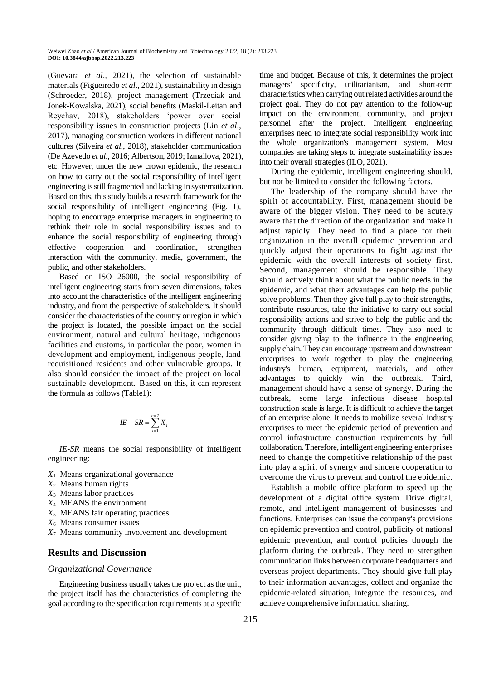(Guevara *et al*., 2021), the selection of sustainable materials (Figueiredo *et al*., 2021), sustainability in design (Schroeder, 2018), project management (Trzeciak and Jonek-Kowalska, 2021), social benefits (Maskil-Leitan and Reychav, 2018), stakeholders 'power over social responsibility issues in construction projects (Lin *et al*., 2017), managing construction workers in different national cultures (Silveira *et al*., 2018), stakeholder communication (De Azevedo *et al*., 2016; Albertson, 2019; Izmailova, 2021), etc. However, under the new crown epidemic, the research on how to carry out the social responsibility of intelligent engineering is still fragmented and lacking in systematization. Based on this, this study builds a research framework for the social responsibility of intelligent engineering (Fig. 1), hoping to encourage enterprise managers in engineering to rethink their role in social responsibility issues and to enhance the social responsibility of engineering through effective cooperation and coordination, strengthen interaction with the community, media, government, the public, and other stakeholders.

Based on ISO 26000, the social responsibility of intelligent engineering starts from seven dimensions, takes into account the characteristics of the intelligent engineering industry, and from the perspective of stakeholders. It should consider the characteristics of the country or region in which the project is located, the possible impact on the social environment, natural and cultural heritage, indigenous facilities and customs, in particular the poor, women in development and employment, indigenous people, land requisitioned residents and other vulnerable groups. It also should consider the impact of the project on local sustainable development. Based on this, it can represent the formula as follows (Table1):

$$
IE - SR = \sum_{i=1}^{n=7} X_i
$$

*IE*-*SR* means the social responsibility of intelligent engineering:

- *X*<sup>1</sup> Means organizational governance
- *X*<sup>2</sup> Means human rights
- *X*<sup>3</sup> Means labor practices
- *X*<sup>4</sup> MEANS the environment
- *X*<sup>5</sup> MEANS fair operating practices
- *X*<sup>6</sup> Means consumer issues
- *X*<sup>7</sup> Means community involvement and development

## **Results and Discussion**

#### *Organizational Governance*

Engineering business usually takes the project as the unit, the project itself has the characteristics of completing the goal according to the specification requirements at a specific time and budget. Because of this, it determines the project managers' specificity, utilitarianism, and short-term characteristics when carrying out related activities around the project goal. They do not pay attention to the follow-up impact on the environment, community, and project personnel after the project. Intelligent engineering enterprises need to integrate social responsibility work into the whole organization's management system. Most companies are taking steps to integrate sustainability issues into their overall strategies (ILO, 2021).

During the epidemic, intelligent engineering should, but not be limited to consider the following factors.

The leadership of the company should have the spirit of accountability. First, management should be aware of the bigger vision. They need to be acutely aware that the direction of the organization and make it adjust rapidly. They need to find a place for their organization in the overall epidemic prevention and quickly adjust their operations to fight against the epidemic with the overall interests of society first. Second, management should be responsible. They should actively think about what the public needs in the epidemic, and what their advantages can help the public solve problems. Then they give full play to their strengths, contribute resources, take the initiative to carry out social responsibility actions and strive to help the public and the community through difficult times. They also need to consider giving play to the influence in the engineering supply chain. They can encourage upstream and downstream enterprises to work together to play the engineering industry's human, equipment, materials, and other advantages to quickly win the outbreak. Third, management should have a sense of synergy. During the outbreak, some large infectious disease hospital construction scale is large. It is difficult to achieve the target of an enterprise alone. It needs to mobilize several industry enterprises to meet the epidemic period of prevention and control infrastructure construction requirements by full collaboration. Therefore, intelligent engineering enterprises need to change the competitive relationship of the past into play a spirit of synergy and sincere cooperation to overcome the virus to prevent and control the epidemic.

Establish a mobile office platform to speed up the development of a digital office system. Drive digital, remote, and intelligent management of businesses and functions. Enterprises can issue the company's provisions on epidemic prevention and control, publicity of national epidemic prevention, and control policies through the platform during the outbreak. They need to strengthen communication links between corporate headquarters and overseas project departments. They should give full play to their information advantages, collect and organize the epidemic-related situation, integrate the resources, and achieve comprehensive information sharing.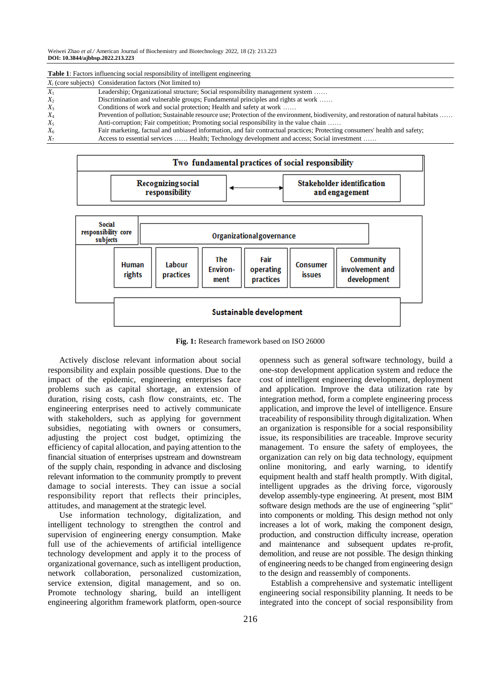|       | $X_i$ (core subjects) Consideration factors (Not limited to)                                                                        |
|-------|-------------------------------------------------------------------------------------------------------------------------------------|
| $X_1$ | Leadership; Organizational structure; Social responsibility management system                                                       |
| $X_2$ | Discrimination and vulnerable groups; Fundamental principles and rights at work                                                     |
| $X_3$ | Conditions of work and social protection; Health and safety at work                                                                 |
| $X_4$ | Prevention of pollution; Sustainable resource use; Protection of the environment, biodiversity, and restoration of natural habitats |
| $X_5$ | Anti-corruption; Fair competition; Promoting social responsibility in the value chain                                               |
| $X_6$ | Fair marketing, factual and unbiased information, and fair contractual practices; Protecting consumers' health and safety;          |
| $X_7$ | Access to essential services  Health; Technology development and access; Social investment                                          |





**Fig. 1:** Research framework based on ISO 26000

Actively disclose relevant information about social responsibility and explain possible questions. Due to the impact of the epidemic, engineering enterprises face problems such as capital shortage, an extension of duration, rising costs, cash flow constraints, etc. The engineering enterprises need to actively communicate with stakeholders, such as applying for government subsidies, negotiating with owners or consumers, adjusting the project cost budget, optimizing the efficiency of capital allocation, and paying attention to the financial situation of enterprises upstream and downstream of the supply chain, responding in advance and disclosing relevant information to the community promptly to prevent damage to social interests. They can issue a social responsibility report that reflects their principles, attitudes, and management at the strategic level.

Use information technology, digitalization, and intelligent technology to strengthen the control and supervision of engineering energy consumption. Make full use of the achievements of artificial intelligence technology development and apply it to the process of organizational governance, such as intelligent production, network collaboration, personalized customization, service extension, digital management, and so on. Promote technology sharing, build an intelligent engineering algorithm framework platform, open-source openness such as general software technology, build a one-stop development application system and reduce the cost of intelligent engineering development, deployment and application. Improve the data utilization rate by integration method, form a complete engineering process application, and improve the level of intelligence. Ensure traceability of responsibility through digitalization. When an organization is responsible for a social responsibility issue, its responsibilities are traceable. Improve security management. To ensure the safety of employees, the organization can rely on big data technology, equipment online monitoring, and early warning, to identify equipment health and staff health promptly. With digital, intelligent upgrades as the driving force, vigorously develop assembly-type engineering. At present, most BIM software design methods are the use of engineering "split" into components or molding. This design method not only increases a lot of work, making the component design, production, and construction difficulty increase, operation and maintenance and subsequent updates re-profit, demolition, and reuse are not possible. The design thinking of engineering needs to be changed from engineering design to the design and reassembly of components.

Establish a comprehensive and systematic intelligent engineering social responsibility planning. It needs to be integrated into the concept of social responsibility from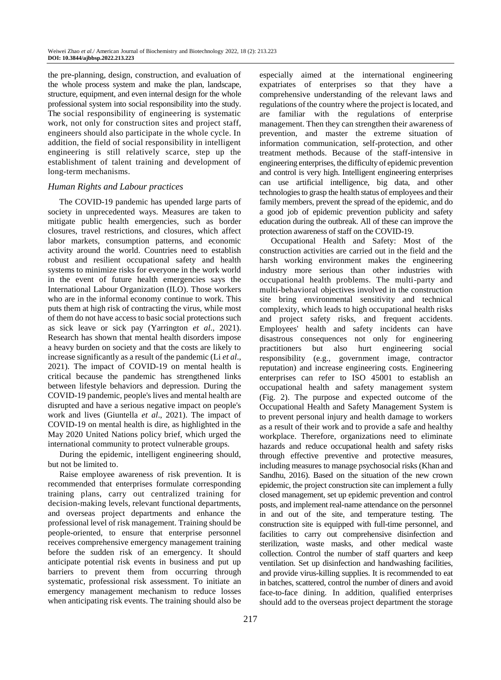the pre-planning, design, construction, and evaluation of the whole process system and make the plan, landscape, structure, equipment, and even internal design for the whole professional system into social responsibility into the study. The social responsibility of engineering is systematic work, not only for construction sites and project staff, engineers should also participate in the whole cycle. In addition, the field of social responsibility in intelligent engineering is still relatively scarce, step up the establishment of talent training and development of long-term mechanisms.

## *Human Rights and Labour practices*

The COVID-19 pandemic has upended large parts of society in unprecedented ways. Measures are taken to mitigate public health emergencies, such as border closures, travel restrictions, and closures, which affect labor markets, consumption patterns, and economic activity around the world. Countries need to establish robust and resilient occupational safety and health systems to minimize risks for everyone in the work world in the event of future health emergencies says the International Labour Organization (ILO). Those workers who are in the informal economy continue to work. This puts them at high risk of contracting the virus, while most of them do not have access to basic social protections such as sick leave or sick pay (Yarrington *et al*., 2021). Research has shown that mental health disorders impose a heavy burden on society and that the costs are likely to increase significantly as a result of the pandemic (Li *et al*., 2021). The impact of COVID-19 on mental health is critical because the pandemic has strengthened links between lifestyle behaviors and depression. During the COVID-19 pandemic, people's lives and mental health are disrupted and have a serious negative impact on people's work and lives (Giuntella *et al*., 2021). The impact of COVID-19 on mental health is dire, as highlighted in the May 2020 United Nations policy brief, which urged the international community to protect vulnerable groups.

During the epidemic, intelligent engineering should, but not be limited to.

Raise employee awareness of risk prevention. It is recommended that enterprises formulate corresponding training plans, carry out centralized training for decision-making levels, relevant functional departments, and overseas project departments and enhance the professional level of risk management. Training should be people-oriented, to ensure that enterprise personnel receives comprehensive emergency management training before the sudden risk of an emergency. It should anticipate potential risk events in business and put up barriers to prevent them from occurring through systematic, professional risk assessment. To initiate an emergency management mechanism to reduce losses when anticipating risk events. The training should also be

especially aimed at the international engineering expatriates of enterprises so that they have a comprehensive understanding of the relevant laws and regulations of the country where the project is located, and are familiar with the regulations of enterprise management. Then they can strengthen their awareness of prevention, and master the extreme situation of information communication, self-protection, and other treatment methods. Because of the staff-intensive in engineering enterprises, the difficulty of epidemic prevention and control is very high. Intelligent engineering enterprises can use artificial intelligence, big data, and other technologies to grasp the health status of employees and their family members, prevent the spread of the epidemic, and do a good job of epidemic prevention publicity and safety education during the outbreak. All of these can improve the protection awareness of staff on the COVID-19.

Occupational Health and Safety: Most of the construction activities are carried out in the field and the harsh working environment makes the engineering industry more serious than other industries with occupational health problems. The multi-party and multi-behavioral objectives involved in the construction site bring environmental sensitivity and technical complexity, which leads to high occupational health risks and project safety risks, and frequent accidents. Employees' health and safety incidents can have disastrous consequences not only for engineering practitioners but also hurt engineering social responsibility (e.g., government image, contractor reputation) and increase engineering costs. Engineering enterprises can refer to ISO 45001 to establish an occupational health and safety management system (Fig. 2). The purpose and expected outcome of the Occupational Health and Safety Management System is to prevent personal injury and health damage to workers as a result of their work and to provide a safe and healthy workplace. Therefore, organizations need to eliminate hazards and reduce occupational health and safety risks through effective preventive and protective measures, including measures to manage psychosocial risks (Khan and Sandhu, 2016). Based on the situation of the new crown epidemic, the project construction site can implement a fully closed management, set up epidemic prevention and control posts, and implement real-name attendance on the personnel in and out of the site, and temperature testing. The construction site is equipped with full-time personnel, and facilities to carry out comprehensive disinfection and sterilization, waste masks, and other medical waste collection. Control the number of staff quarters and keep ventilation. Set up disinfection and handwashing facilities, and provide virus-killing supplies. It is recommended to eat in batches, scattered, control the number of diners and avoid face-to-face dining. In addition, qualified enterprises should add to the overseas project department the storage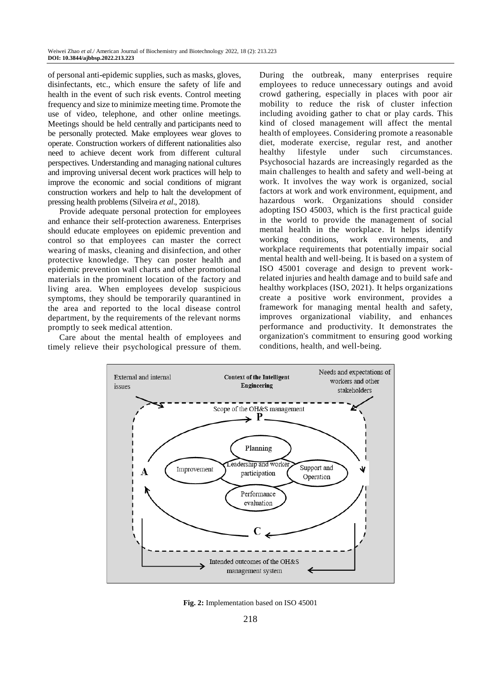of personal anti-epidemic supplies, such as masks, gloves, disinfectants, etc., which ensure the safety of life and health in the event of such risk events. Control meeting frequency and size to minimize meeting time. Promote the use of video, telephone, and other online meetings. Meetings should be held centrally and participants need to be personally protected. Make employees wear gloves to operate. Construction workers of different nationalities also need to achieve decent work from different cultural perspectives. Understanding and managing national cultures and improving universal decent work practices will help to improve the economic and social conditions of migrant construction workers and help to halt the development of pressing health problems (Silveira *et al*., 2018).

Provide adequate personal protection for employees and enhance their self-protection awareness. Enterprises should educate employees on epidemic prevention and control so that employees can master the correct wearing of masks, cleaning and disinfection, and other protective knowledge. They can poster health and epidemic prevention wall charts and other promotional materials in the prominent location of the factory and living area. When employees develop suspicious symptoms, they should be temporarily quarantined in the area and reported to the local disease control department, by the requirements of the relevant norms promptly to seek medical attention.

Care about the mental health of employees and timely relieve their psychological pressure of them.

During the outbreak, many enterprises require employees to reduce unnecessary outings and avoid crowd gathering, especially in places with poor air mobility to reduce the risk of cluster infection including avoiding gather to chat or play cards. This kind of closed management will affect the mental health of employees. Considering promote a reasonable diet, moderate exercise, regular rest, and another healthy lifestyle under such circumstances. Psychosocial hazards are increasingly regarded as the main challenges to health and safety and well-being at work. It involves the way work is organized, social factors at work and work environment, equipment, and hazardous work. Organizations should consider adopting ISO 45003, which is the first practical guide in the world to provide the management of social mental health in the workplace. It helps identify working conditions, work environments, and workplace requirements that potentially impair social mental health and well-being. It is based on a system of ISO 45001 coverage and design to prevent workrelated injuries and health damage and to build safe and healthy workplaces (ISO, 2021). It helps organizations create a positive work environment, provides a framework for managing mental health and safety, improves organizational viability, and enhances performance and productivity. It demonstrates the organization's commitment to ensuring good working conditions, health, and well-being.



**Fig. 2:** Implementation based on ISO 45001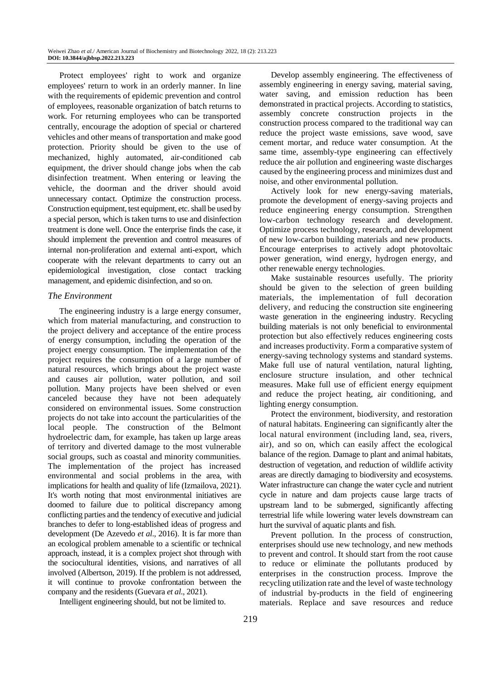Protect employees' right to work and organize employees' return to work in an orderly manner. In line with the requirements of epidemic prevention and control of employees, reasonable organization of batch returns to work. For returning employees who can be transported centrally, encourage the adoption of special or chartered vehicles and other means of transportation and make good protection. Priority should be given to the use of mechanized, highly automated, air-conditioned cab equipment, the driver should change jobs when the cab disinfection treatment. When entering or leaving the vehicle, the doorman and the driver should avoid unnecessary contact. Optimize the construction process. Construction equipment, test equipment, etc. shall be used by a special person, which is taken turns to use and disinfection treatment is done well. Once the enterprise finds the case, it should implement the prevention and control measures of internal non-proliferation and external anti-export, which cooperate with the relevant departments to carry out an epidemiological investigation, close contact tracking management, and epidemic disinfection, and so on.

## *The Environment*

The engineering industry is a large energy consumer, which from material manufacturing, and construction to the project delivery and acceptance of the entire process of energy consumption, including the operation of the project energy consumption. The implementation of the project requires the consumption of a large number of natural resources, which brings about the project waste and causes air pollution, water pollution, and soil pollution. Many projects have been shelved or even canceled because they have not been adequately considered on environmental issues. Some construction projects do not take into account the particularities of the local people. The construction of the Belmont hydroelectric dam, for example, has taken up large areas of territory and diverted damage to the most vulnerable social groups, such as coastal and minority communities. The implementation of the project has increased environmental and social problems in the area, with implications for health and quality of life (Izmailova, 2021). It's worth noting that most environmental initiatives are doomed to failure due to political discrepancy among conflicting parties and the tendency of executive and judicial branches to defer to long-established ideas of progress and development (De Azevedo *et al*., 2016). It is far more than an ecological problem amenable to a scientific or technical approach, instead, it is a complex project shot through with the sociocultural identities, visions, and narratives of all involved (Albertson, 2019). If the problem is not addressed, it will continue to provoke confrontation between the company and the residents (Guevara *et al*., 2021).

Intelligent engineering should, but not be limited to.

Develop assembly engineering. The effectiveness of assembly engineering in energy saving, material saving, water saving, and emission reduction has been demonstrated in practical projects. According to statistics, assembly concrete construction projects in the construction process compared to the traditional way can reduce the project waste emissions, save wood, save cement mortar, and reduce water consumption. At the same time, assembly-type engineering can effectively reduce the air pollution and engineering waste discharges caused by the engineering process and minimizes dust and noise, and other environmental pollution.

Actively look for new energy-saving materials, promote the development of energy-saving projects and reduce engineering energy consumption. Strengthen low-carbon technology research and development. Optimize process technology, research, and development of new low-carbon building materials and new products. Encourage enterprises to actively adopt photovoltaic power generation, wind energy, hydrogen energy, and other renewable energy technologies.

Make sustainable resources usefully. The priority should be given to the selection of green building materials, the implementation of full decoration delivery, and reducing the construction site engineering waste generation in the engineering industry. Recycling building materials is not only beneficial to environmental protection but also effectively reduces engineering costs and increases productivity. Form a comparative system of energy-saving technology systems and standard systems. Make full use of natural ventilation, natural lighting, enclosure structure insulation, and other technical measures. Make full use of efficient energy equipment and reduce the project heating, air conditioning, and lighting energy consumption.

Protect the environment, biodiversity, and restoration of natural habitats. Engineering can significantly alter the local natural environment (including land, sea, rivers, air), and so on, which can easily affect the ecological balance of the region. Damage to plant and animal habitats, destruction of vegetation, and reduction of wildlife activity areas are directly damaging to biodiversity and ecosystems. Water infrastructure can change the water cycle and nutrient cycle in nature and dam projects cause large tracts of upstream land to be submerged, significantly affecting terrestrial life while lowering water levels downstream can hurt the survival of aquatic plants and fish.

Prevent pollution. In the process of construction, enterprises should use new technology, and new methods to prevent and control. It should start from the root cause to reduce or eliminate the pollutants produced by enterprises in the construction process. Improve the recycling utilization rate and the level of waste technology of industrial by-products in the field of engineering materials. Replace and save resources and reduce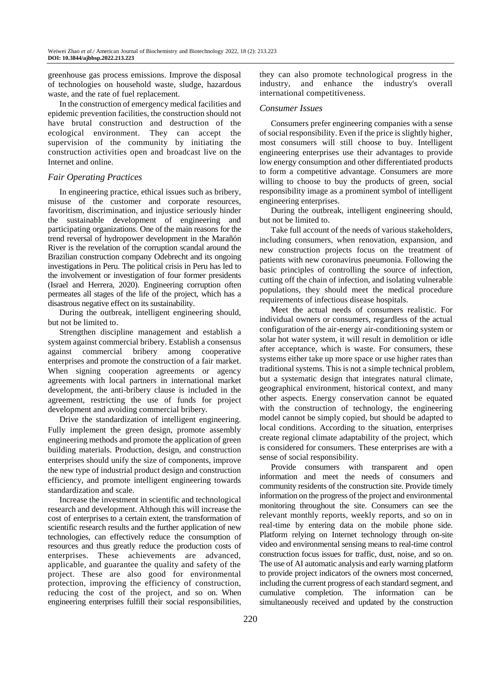greenhouse gas process emissions. Improve the disposal of technologies on household waste, sludge, hazardous waste, and the rate of fuel replacement.

In the construction of emergency medical facilities and epidemic prevention facilities, the construction should not have brutal construction and destruction of the ecological environment. They can accept the supervision of the community by initiating the construction activities open and broadcast live on the Internet and online.

## *Fair Operating Practices*

In engineering practice, ethical issues such as bribery, misuse of the customer and corporate resources, favoritism, discrimination, and injustice seriously hinder the sustainable development of engineering and participating organizations. One of the main reasons for the trend reversal of hydropower development in the Marañón River is the revelation of the corruption scandal around the Brazilian construction company Odebrecht and its ongoing investigations in Peru. The political crisis in Peru has led to the involvement or investigation of four former presidents (Israel and Herrera, 2020). Engineering corruption often permeates all stages of the life of the project, which has a disastrous negative effect on its sustainability.

During the outbreak, intelligent engineering should, but not be limited to.

Strengthen discipline management and establish a system against commercial bribery. Establish a consensus against commercial bribery among cooperative enterprises and promote the construction of a fair market. When signing cooperation agreements or agency agreements with local partners in international market development, the anti-bribery clause is included in the agreement, restricting the use of funds for project development and avoiding commercial bribery.

Drive the standardization of intelligent engineering. Fully implement the green design, promote assembly engineering methods and promote the application of green building materials. Production, design, and construction enterprises should unify the size of components, improve the new type of industrial product design and construction efficiency, and promote intelligent engineering towards standardization and scale.

Increase the investment in scientific and technological research and development. Although this will increase the cost of enterprises to a certain extent, the transformation of scientific research results and the further application of new technologies, can effectively reduce the consumption of resources and thus greatly reduce the production costs of enterprises. These achievements are advanced, applicable, and guarantee the quality and safety of the project. These are also good for environmental protection, improving the efficiency of construction, reducing the cost of the project, and so on. When engineering enterprises fulfill their social responsibilities,

they can also promote technological progress in the industry, and enhance the industry's overall international competitiveness.

#### *Consumer Issues*

Consumers prefer engineering companies with a sense of social responsibility. Even if the price is slightly higher, most consumers will still choose to buy. Intelligent engineering enterprises use their advantages to provide low energy consumption and other differentiated products to form a competitive advantage. Consumers are more willing to choose to buy the products of green, social responsibility image as a prominent symbol of intelligent engineering enterprises.

During the outbreak, intelligent engineering should, but not be limited to.

Take full account of the needs of various stakeholders, including consumers, when renovation, expansion, and new construction projects focus on the treatment of patients with new coronavirus pneumonia. Following the basic principles of controlling the source of infection, cutting off the chain of infection, and isolating vulnerable populations, they should meet the medical procedure requirements of infectious disease hospitals.

Meet the actual needs of consumers realistic. For individual owners or consumers, regardless of the actual configuration of the air-energy air-conditioning system or solar hot water system, it will result in demolition or idle after acceptance, which is waste. For consumers, these systems either take up more space or use higher rates than traditional systems. This is not a simple technical problem, but a systematic design that integrates natural climate, geographical environment, historical context, and many other aspects. Energy conservation cannot be equated with the construction of technology, the engineering model cannot be simply copied, but should be adapted to local conditions. According to the situation, enterprises create regional climate adaptability of the project, which is considered for consumers. These enterprises are with a sense of social responsibility.

Provide consumers with transparent and open information and meet the needs of consumers and community residents of the construction site. Provide timely information on the progress of the project and environmental monitoring throughout the site. Consumers can see the relevant monthly reports, weekly reports, and so on in real-time by entering data on the mobile phone side. Platform relying on Internet technology through on-site video and environmental sensing means to real-time control construction focus issues for traffic, dust, noise, and so on. The use of AI automatic analysis and early warning platform to provide project indicators of the owners most concerned, including the current progress of each standard segment, and cumulative completion. The information can be simultaneously received and updated by the construction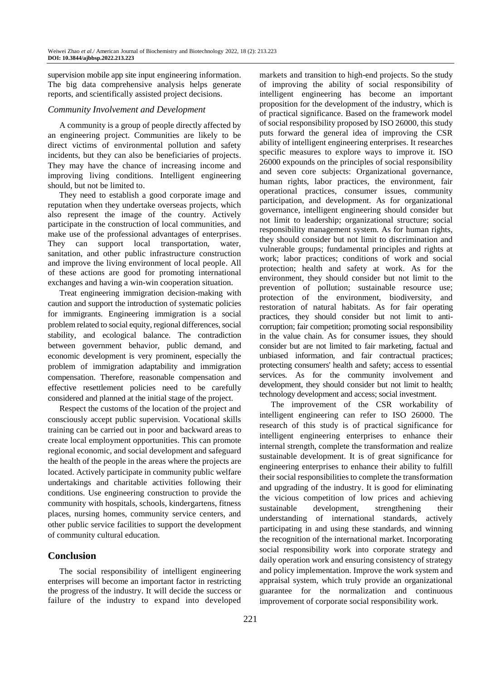supervision mobile app site input engineering information. The big data comprehensive analysis helps generate reports, and scientifically assisted project decisions.

## *Community Involvement and Development*

A community is a group of people directly affected by an engineering project. Communities are likely to be direct victims of environmental pollution and safety incidents, but they can also be beneficiaries of projects. They may have the chance of increasing income and improving living conditions. Intelligent engineering should, but not be limited to.

They need to establish a good corporate image and reputation when they undertake overseas projects, which also represent the image of the country. Actively participate in the construction of local communities, and make use of the professional advantages of enterprises. They can support local transportation, water, sanitation, and other public infrastructure construction and improve the living environment of local people. All of these actions are good for promoting international exchanges and having a win-win cooperation situation.

Treat engineering immigration decision-making with caution and support the introduction of systematic policies for immigrants. Engineering immigration is a social problem related to social equity, regional differences, social stability, and ecological balance. The contradiction between government behavior, public demand, and economic development is very prominent, especially the problem of immigration adaptability and immigration compensation. Therefore, reasonable compensation and effective resettlement policies need to be carefully considered and planned at the initial stage of the project.

Respect the customs of the location of the project and consciously accept public supervision. Vocational skills training can be carried out in poor and backward areas to create local employment opportunities. This can promote regional economic, and social development and safeguard the health of the people in the areas where the projects are located. Actively participate in community public welfare undertakings and charitable activities following their conditions. Use engineering construction to provide the community with hospitals, schools, kindergartens, fitness places, nursing homes, community service centers, and other public service facilities to support the development of community cultural education.

# **Conclusion**

The social responsibility of intelligent engineering enterprises will become an important factor in restricting the progress of the industry. It will decide the success or failure of the industry to expand into developed

markets and transition to high-end projects. So the study of improving the ability of social responsibility of intelligent engineering has become an important proposition for the development of the industry, which is of practical significance. Based on the framework model of social responsibility proposed by ISO 26000, this study puts forward the general idea of improving the CSR ability of intelligent engineering enterprises. It researches specific measures to explore ways to improve it. ISO 26000 expounds on the principles of social responsibility and seven core subjects: Organizational governance, human rights, labor practices, the environment, fair operational practices, consumer issues, community participation, and development. As for organizational governance, intelligent engineering should consider but not limit to leadership; organizational structure; social responsibility management system. As for human rights, they should consider but not limit to discrimination and vulnerable groups; fundamental principles and rights at work; labor practices; conditions of work and social protection; health and safety at work. As for the environment, they should consider but not limit to the prevention of pollution; sustainable resource use; protection of the environment, biodiversity, and restoration of natural habitats. As for fair operating practices, they should consider but not limit to anticorruption; fair competition; promoting social responsibility in the value chain. As for consumer issues, they should consider but are not limited to fair marketing, factual and unbiased information, and fair contractual practices; protecting consumers' health and safety; access to essential services. As for the community involvement and development, they should consider but not limit to health; technology development and access; social investment.

The improvement of the CSR workability of intelligent engineering can refer to ISO 26000. The research of this study is of practical significance for intelligent engineering enterprises to enhance their internal strength, complete the transformation and realize sustainable development. It is of great significance for engineering enterprises to enhance their ability to fulfill their social responsibilities to complete the transformation and upgrading of the industry. It is good for eliminating the vicious competition of low prices and achieving sustainable development, strengthening their understanding of international standards, actively participating in and using these standards, and winning the recognition of the international market. Incorporating social responsibility work into corporate strategy and daily operation work and ensuring consistency of strategy and policy implementation. Improve the work system and appraisal system, which truly provide an organizational guarantee for the normalization and continuous improvement of corporate social responsibility work.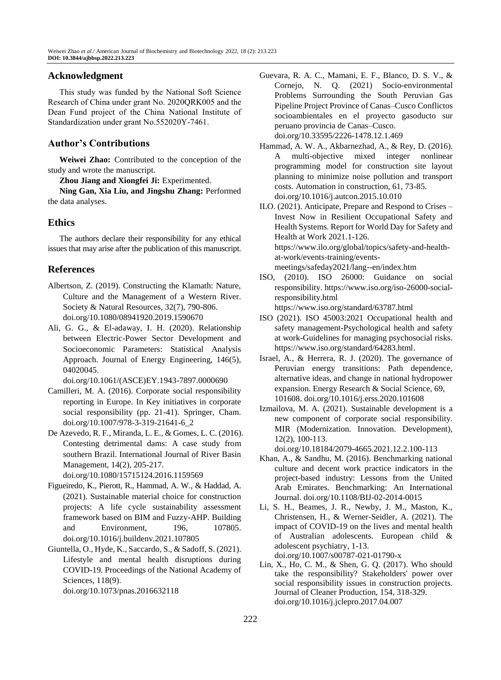## **Acknowledgment**

This study was funded by the National Soft Science Research of China under grant No. 2020QRK005 and the Dean Fund project of the China National Institute of Standardization under grant No.552020Y-7461.

# **Author's Contributions**

**Weiwei Zhao:** Contributed to the conception of the study and wrote the manuscript.

**Zhou Jiang and Xiongfei Ji:** Experimented.

**Ning Gan, Xia Liu, and Jingshu Zhang:** Performed the data analyses.

# **Ethics**

The authors declare their responsibility for any ethical issues that may arise after the publication of this manuscript.

# **References**

- Albertson, Z. (2019). Constructing the Klamath: Nature, Culture and the Management of a Western River. Society & Natural Resources, 32(7), 790-806. doi.org/10.1080/08941920.2019.1590670
- Ali, G. G., & El-adaway, I. H. (2020). Relationship between Electric-Power Sector Development and Socioeconomic Parameters: Statistical Analysis Approach. Journal of Energy Engineering, 146(5), 04020045.

doi.org/10.1061/(ASCE)EY.1943-7897.0000690

- Camilleri, M. A. (2016). Corporate social responsibility reporting in Europe. In Key initiatives in corporate social responsibility (pp. 21-41). Springer, Cham. [doi.org/10.1007/978-3-319-21641-6\\_2](https://doi.org/10.1007/978-3-319-21641-6_2)
- De Azevedo, R. F., Miranda, L. E., & Gomes, L. C. (2016). Contesting detrimental dams: A case study from southern Brazil. International Journal of River Basin Management, 14(2), 205-217. doi.org/10.1080/15715124.2016.1159569
- Figueiredo, K., Pierott, R., Hammad, A. W., & Haddad, A. (2021). Sustainable material choice for construction projects: A life cycle sustainability assessment framework based on BIM and Fuzzy-AHP. Building and Environment, 196, 107805.
- doi.org/10.1016/j.buildenv.2021.107805
- Giuntella, O., Hyde, K., Saccardo, S., & Sadoff, S. (2021). Lifestyle and mental health disruptions during COVID-19. Proceedings of the National Academy of Sciences, 118(9).

doi.org/10.1073/pnas.2016632118

- Guevara, R. A. C., Mamani, E. F., Blanco, D. S. V., & Cornejo, N. Q. (2021) Socio-environmental Problems Surrounding the South Peruvian Gas Pipeline Project Province of Canas–Cusco Conflictos socioambientales en el proyecto gasoducto sur peruano provincia de Canas–Cusco. doi.org/10.33595/2226-1478.12.1.469
- Hammad, A. W. A., Akbarnezhad, A., & Rey, D. (2016). A multi-objective mixed integer nonlinear programming model for construction site layout planning to minimize noise pollution and transport costs. Automation in construction, 61, 73-85. doi.org/10.1016/j.autcon.2015.10.010
- ILO. (2021). Anticipate, Prepare and Respond to Crises Invest Now in Resilient Occupational Safety and Health Systems. Report for World Day for Safety and Health at Work 2021.1-126. https://www.ilo.org/global/topics/safety-and-healthat-work/events-training/eventsmeetings/safeday2021/lang--en/index.htm
- ISO, (2010). ISO 26000: Guidance on social responsibility. [https://www.iso.org/iso-26000-social](https://www.iso.org/iso-26000-social-responsibility.html)[responsibility.html](https://www.iso.org/iso-26000-social-responsibility.html) https://www.iso.org/standard/63787.html
- ISO (2021). ISO 45003:2021 Occupational health and safety management-Psychological health and safety at work-Guidelines for managing psychosocial risks. https://www.iso.org/standard/64283.html.
- Israel, A., & Herrera, R. J. (2020). The governance of Peruvian energy transitions: Path dependence, alternative ideas, and change in national hydropower expansion. Energy Research & Social Science, 69, 101608. doi.org/10.1016/j.erss.2020.101608
- Izmailova, M. A. (2021). Sustainable development is a new component of corporate social responsibility. MIR (Modernization. Innovation. Development), 12(2), 100-113.

doi.org/10.18184/2079-4665.2021.12.2.100-113

- Khan, A., & Sandhu, M. (2016). Benchmarking national culture and decent work practice indicators in the project-based industry: Lessons from the United Arab Emirates. Benchmarking: An International Journal. doi.org/10.1108/BIJ-02-2014-0015
- Li, S. H., Beames, J. R., Newby, J. M., Maston, K., Christensen, H., & Werner-Seidler, A. (2021). The impact of COVID-19 on the lives and mental health of Australian adolescents. European child & adolescent psychiatry, 1-13. doi.org/10.1007/s00787-021-01790-x
- Lin, X., Ho, C. M., & Shen, G. Q. (2017). Who should take the responsibility? Stakeholders' power over social responsibility issues in construction projects. Journal of Cleaner Production, 154, 318-329. doi.org/10.1016/j.jclepro.2017.04.007